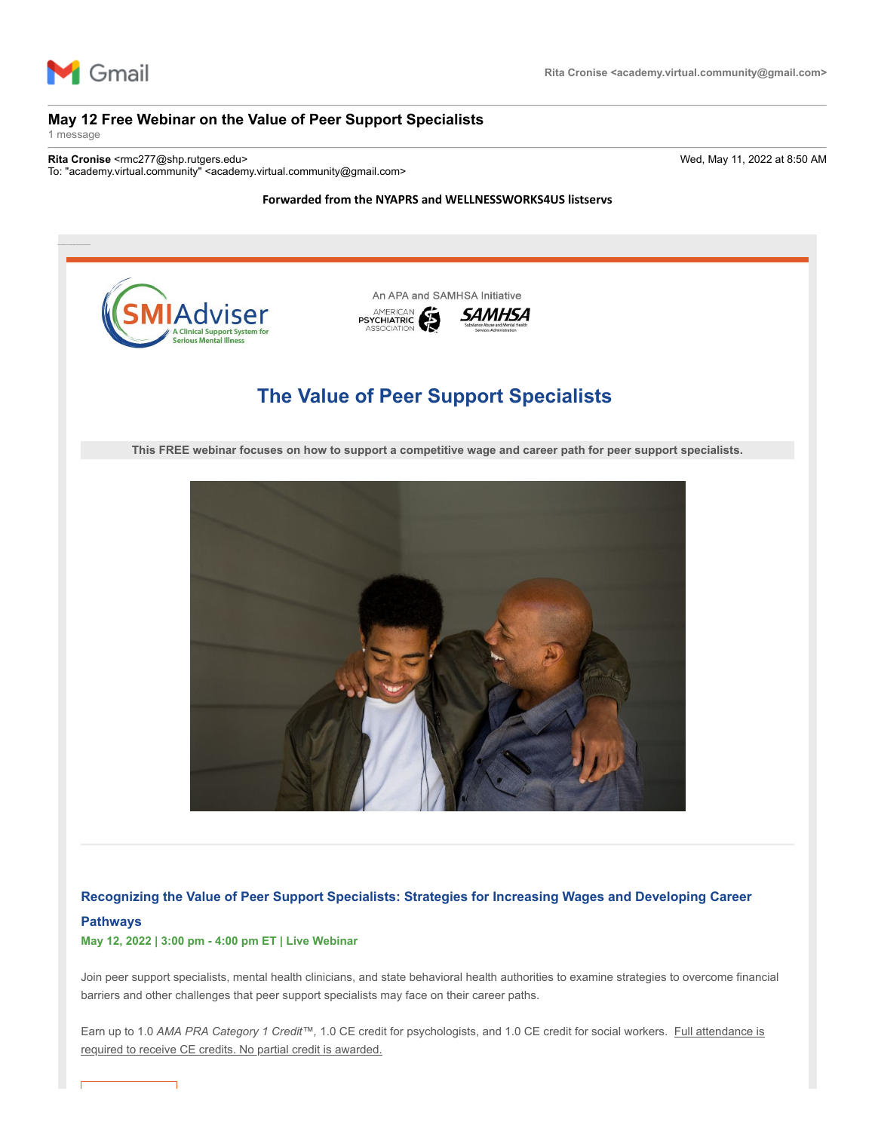

# **May 12 Free Webinar on the Value of Peer Support Specialists**

1 message

**Rita Cronise** <rmc277@shp.rutgers.edu> Wed, May 11, 2022 at 8:50 AM To: "academy.virtual.community" <academy.virtual.community@gmail.com>

### **Forwarded from the NYAPRS and WELLNESSWORKS4US listservs**



## **Recognizing the Value of Peer Support Specialists: Strategies for Increasing Wages and Developing Career**

### **Pathways**

# **May 12, 2022 | 3:00 pm - 4:00 pm ET | Live Webinar**

Join peer support specialists, mental health clinicians, and state behavioral health authorities to examine strategies to overcome financial barriers and other challenges that peer support specialists may face on their career paths.

Earn up to 1.0 *AMA PRA Category 1 Credit™,* 1.0 CE credit for psychologists, and 1.0 CE credit for social workers. Full attendance is required to receive CE credits. No partial credit is awarded.